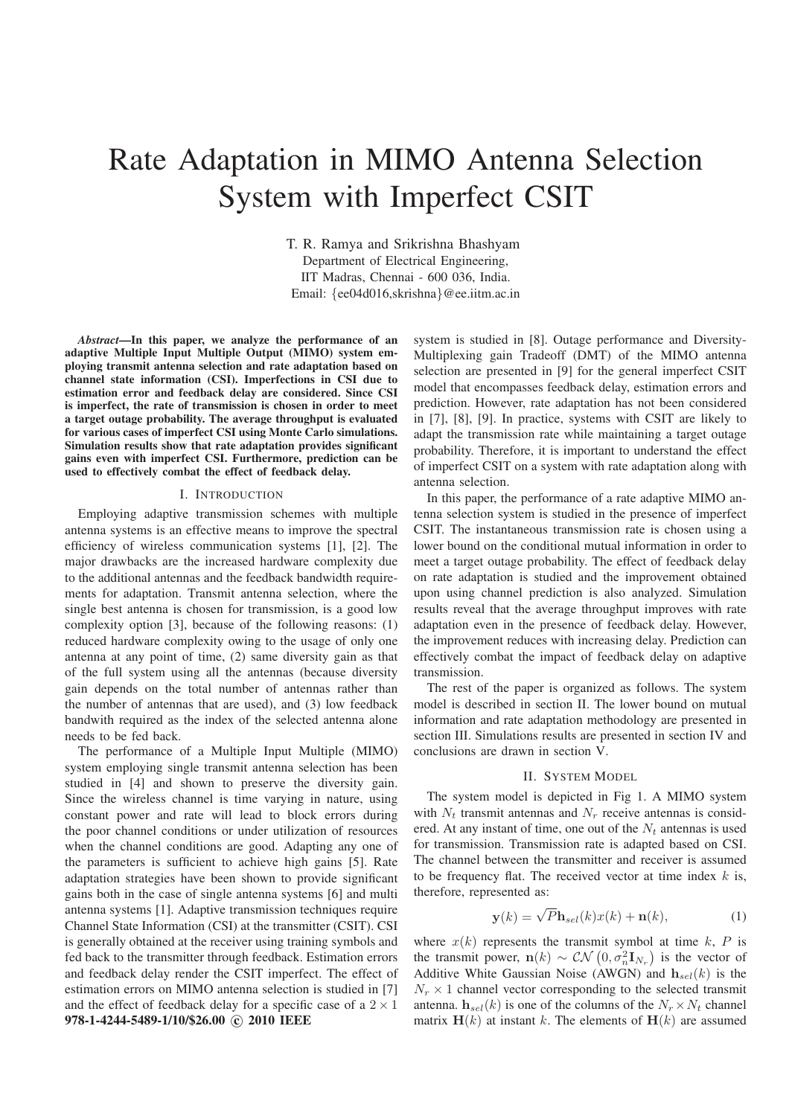# Rate Adaptation in MIMO Antenna Selection System with Imperfect CSIT

T. R. Ramya and Srikrishna Bhashyam Department of Electrical Engineering, IIT Madras, Chennai - 600 036, India. Email: {ee04d016,skrishna}@ee.iitm.ac.in

*Abstract***—In this paper, we analyze the performance of an adaptive Multiple Input Multiple Output (MIMO) system employing transmit antenna selection and rate adaptation based on channel state information (CSI). Imperfections in CSI due to estimation error and feedback delay are considered. Since CSI is imperfect, the rate of transmission is chosen in order to meet a target outage probability. The average throughput is evaluated for various cases of imperfect CSI using Monte Carlo simulations. Simulation results show that rate adaptation provides significant gains even with imperfect CSI. Furthermore, prediction can be used to effectively combat the effect of feedback delay.**

#### I. INTRODUCTION

Employing adaptive transmission schemes with multiple antenna systems is an effective means to improve the spectral efficiency of wireless communication systems [1], [2]. The major drawbacks are the increased hardware complexity due to the additional antennas and the feedback bandwidth requirements for adaptation. Transmit antenna selection, where the single best antenna is chosen for transmission, is a good low complexity option [3], because of the following reasons: (1) reduced hardware complexity owing to the usage of only one antenna at any point of time, (2) same diversity gain as that of the full system using all the antennas (because diversity gain depends on the total number of antennas rather than the number of antennas that are used), and (3) low feedback bandwith required as the index of the selected antenna alone needs to be fed back.

The performance of a Multiple Input Multiple (MIMO) system employing single transmit antenna selection has been studied in [4] and shown to preserve the diversity gain. Since the wireless channel is time varying in nature, using constant power and rate will lead to block errors during the poor channel conditions or under utilization of resources when the channel conditions are good. Adapting any one of the parameters is sufficient to achieve high gains [5]. Rate adaptation strategies have been shown to provide significant gains both in the case of single antenna systems [6] and multi antenna systems [1]. Adaptive transmission techniques require Channel State Information (CSI) at the transmitter (CSIT). CSI is generally obtained at the receiver using training symbols and fed back to the transmitter through feedback. Estimation errors and feedback delay render the CSIT imperfect. The effect of estimation errors on MIMO antenna selection is studied in [7] and the effect of feedback delay for a specific case of a  $2 \times 1$ **978-1-4244-5489-1/10/\$26.00** °**c 2010 IEEE**

system is studied in [8]. Outage performance and Diversity-Multiplexing gain Tradeoff (DMT) of the MIMO antenna selection are presented in [9] for the general imperfect CSIT model that encompasses feedback delay, estimation errors and prediction. However, rate adaptation has not been considered in [7], [8], [9]. In practice, systems with CSIT are likely to adapt the transmission rate while maintaining a target outage probability. Therefore, it is important to understand the effect of imperfect CSIT on a system with rate adaptation along with antenna selection.

In this paper, the performance of a rate adaptive MIMO antenna selection system is studied in the presence of imperfect CSIT. The instantaneous transmission rate is chosen using a lower bound on the conditional mutual information in order to meet a target outage probability. The effect of feedback delay on rate adaptation is studied and the improvement obtained upon using channel prediction is also analyzed. Simulation results reveal that the average throughput improves with rate adaptation even in the presence of feedback delay. However, the improvement reduces with increasing delay. Prediction can effectively combat the impact of feedback delay on adaptive transmission.

The rest of the paper is organized as follows. The system model is described in section II. The lower bound on mutual information and rate adaptation methodology are presented in section III. Simulations results are presented in section IV and conclusions are drawn in section V.

### II. SYSTEM MODEL

The system model is depicted in Fig 1. A MIMO system with  $N_t$  transmit antennas and  $N_r$  receive antennas is considered. At any instant of time, one out of the  $N_t$  antennas is used for transmission. Transmission rate is adapted based on CSI. The channel between the transmitter and receiver is assumed to be frequency flat. The received vector at time index  $k$  is, therefore, represented as:

$$
\mathbf{y}(k) = \sqrt{P} \mathbf{h}_{sel}(k) x(k) + \mathbf{n}(k),\tag{1}
$$

where  $x(k)$  represents the transmit symbol at time k, P is the transmit power,  $\mathbf{n}(k) \sim \mathcal{CN}\left(0, \sigma_n^2 \mathbf{I}_{N_r}\right)$  is the vector of Additive White Gaussian Noise (AWGN) and  $h_{sel}(k)$  is the  $N_r \times 1$  channel vector corresponding to the selected transmit antenna.  $h_{sel}(k)$  is one of the columns of the  $N_r \times N_t$  channel matrix  $H(k)$  at instant k. The elements of  $H(k)$  are assumed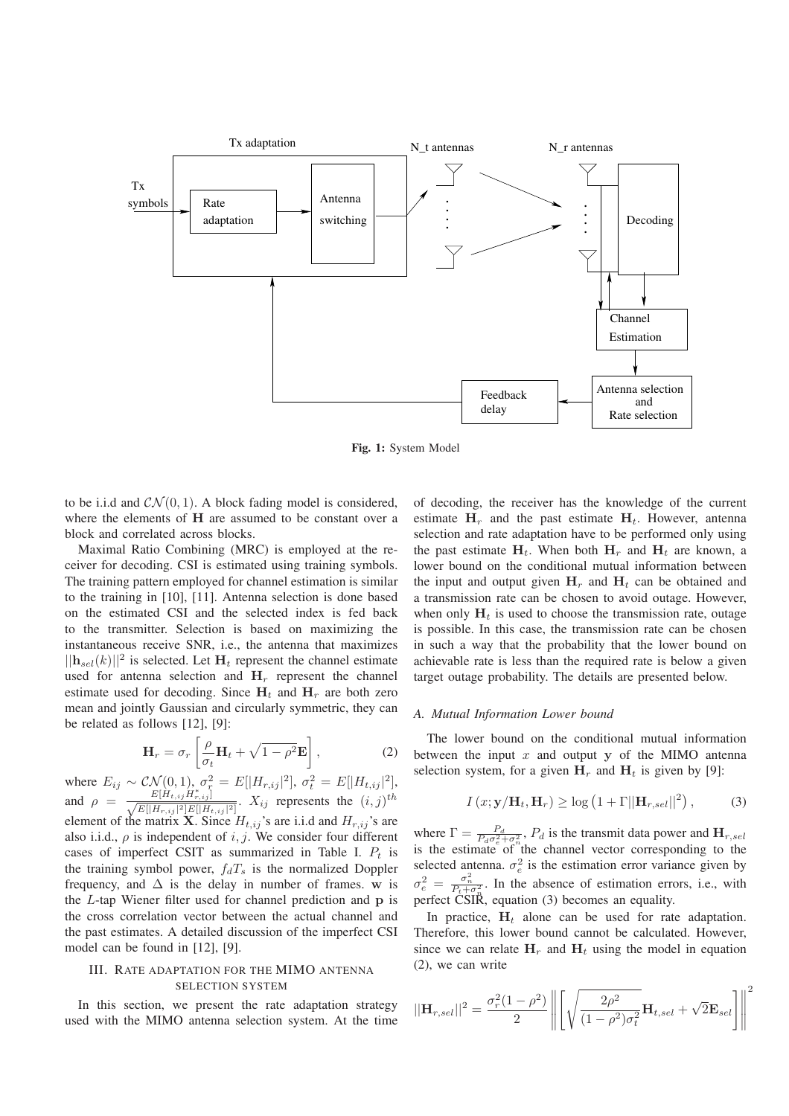

**Fig. 1:** System Model

to be i.i.d and  $CN(0, 1)$ . A block fading model is considered, where the elements of H are assumed to be constant over a block and correlated across blocks.

Maximal Ratio Combining (MRC) is employed at the receiver for decoding. CSI is estimated using training symbols. The training pattern employed for channel estimation is similar to the training in [10], [11]. Antenna selection is done based on the estimated CSI and the selected index is fed back to the transmitter. Selection is based on maximizing the instantaneous receive SNR, i.e., the antenna that maximizes  $||\mathbf{h}_{sel}(k)||^2$  is selected. Let  $\mathbf{H}_t$  represent the channel estimate used for antenna selection and  $H_r$  represent the channel estimate used for decoding. Since  $H_t$  and  $H_r$  are both zero mean and jointly Gaussian and circularly symmetric, they can be related as follows [12], [9]:

$$
\mathbf{H}_r = \sigma_r \left[ \frac{\rho}{\sigma_t} \mathbf{H}_t + \sqrt{1 - \rho^2} \mathbf{E} \right],\tag{2}
$$

where  $E_{ij} \sim \mathcal{CN}(0, 1), \sigma_{\tau}^2 = E[|H_{r,ij}|^2], \sigma_t^2 = E[|H_{t,ij}|^2],$ and  $\rho = \frac{E[H_{t,ij}H_{r,ij}^*]}{\sqrt{E[|H_{r,ij}|^2]E[|H_{t,ij}|^2]}}$ .  $X_{ij}$  represents the  $(i,j)^{th}$ element of the matrix **X**. Since  $H_{t,ij}$ 's are i.i.d and  $H_{r,ij}$ 's are also i.i.d.,  $\rho$  is independent of i, j. We consider four different cases of imperfect CSIT as summarized in Table I.  $P_t$  is the training symbol power,  $f_dT_s$  is the normalized Doppler frequency, and  $\Delta$  is the delay in number of frames. w is the  $L$ -tap Wiener filter used for channel prediction and  $p$  is the cross correlation vector between the actual channel and the past estimates. A detailed discussion of the imperfect CSI model can be found in [12], [9].

# III. RATE ADAPTATION FOR THE MIMO ANTENNA SELECTION SYSTEM

In this section, we present the rate adaptation strategy used with the MIMO antenna selection system. At the time of decoding, the receiver has the knowledge of the current estimate  $H_r$  and the past estimate  $H_t$ . However, antenna selection and rate adaptation have to be performed only using the past estimate  $H_t$ . When both  $H_t$  and  $H_t$  are known, a lower bound on the conditional mutual information between the input and output given  $H_r$  and  $H_t$  can be obtained and a transmission rate can be chosen to avoid outage. However, when only  $H_t$  is used to choose the transmission rate, outage is possible. In this case, the transmission rate can be chosen in such a way that the probability that the lower bound on achievable rate is less than the required rate is below a given target outage probability. The details are presented below.

#### *A. Mutual Information Lower bound*

The lower bound on the conditional mutual information between the input  $x$  and output  $y$  of the MIMO antenna selection system, for a given  $H_r$  and  $H_t$  is given by [9]:

$$
I(x; \mathbf{y}/\mathbf{H}_t, \mathbf{H}_r) \ge \log \left( 1 + \Gamma ||\mathbf{H}_{r, sel}||^2 \right), \tag{3}
$$

where  $\Gamma = \frac{P_d}{P_d \sigma_e^2 + \sigma_n^2}$ ,  $P_d$  is the transmit data power and  $\mathbf{H}_{r,sel}$ is the estimate of the channel vector corresponding to the selected antenna.  $\sigma_e^2$  is the estimation error variance given by  $\sigma_e^2 = \frac{\sigma_n^2}{P_t + \sigma_n^2}$ . In the absence of estimation errors, i.e., with perfect CSIR, equation (3) becomes an equality.

In practice,  $H_t$  alone can be used for rate adaptation. Therefore, this lower bound cannot be calculated. However, since we can relate  $H_r$  and  $H_t$  using the model in equation (2), we can write

$$
||\mathbf{H}_{r,sel}||^2 = \frac{\sigma_r^2 (1 - \rho^2)}{2} \left\| \left[ \sqrt{\frac{2\rho^2}{(1 - \rho^2)\sigma_t^2}} \mathbf{H}_{t,sel} + \sqrt{2} \mathbf{E}_{sel} \right] \right\|^2
$$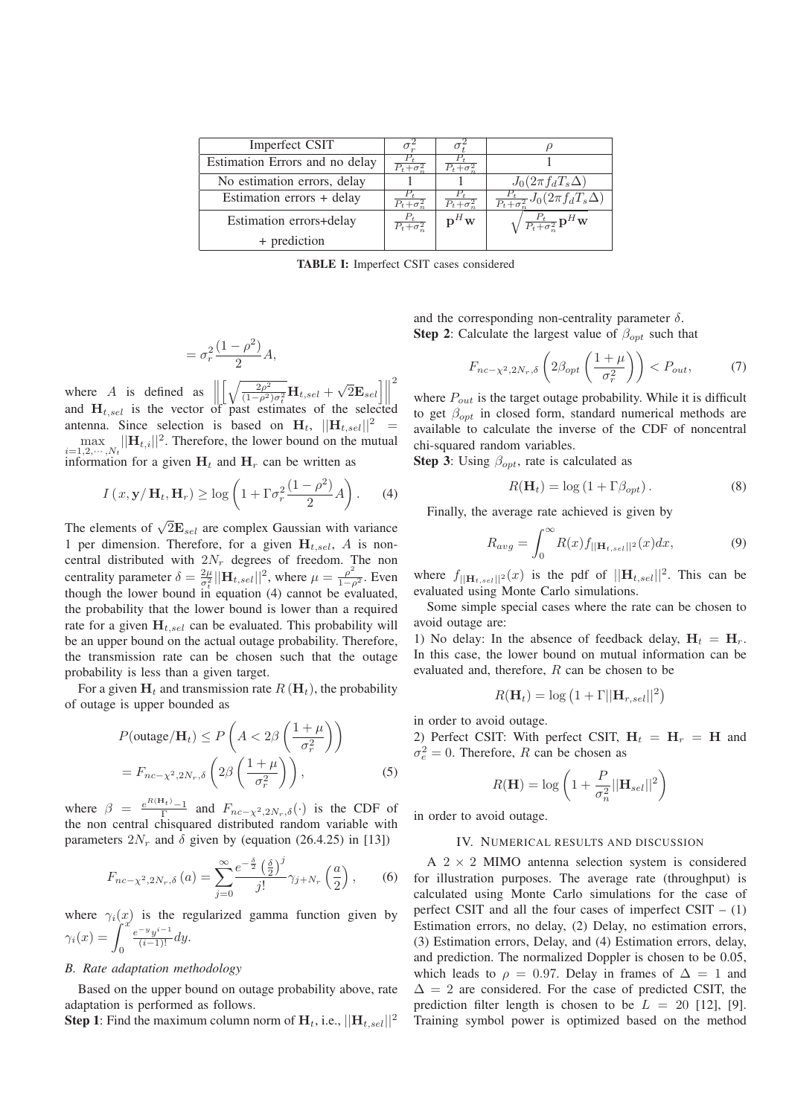| Imperfect CSIT                 | $\sigma$ .                           |                          |                                                                    |
|--------------------------------|--------------------------------------|--------------------------|--------------------------------------------------------------------|
| Estimation Errors and no delay | $\overline{P_t + \sigma^2}$          | $P_t + \sigma^2$         |                                                                    |
| No estimation errors, delay    |                                      |                          | $J_0(2\pi f_dT_s\Delta)$                                           |
| Estimation errors + delay      | $\overline{P_t + \sigma_m^2}$        | $P_t + \sigma^2$         | $\frac{P_t}{P_t + \sigma_s^2} J_0(\overline{2\pi f_d T_s \Delta})$ |
| Estimation errors+delay        | $\overline{P_t + \sigma_{\infty}^2}$ | $\mathbf{p}^H\mathbf{w}$ | $\sqrt{\frac{P_t}{P_t + \sigma_n^2}} \mathbf{p}^H \mathbf{w}$      |
| + prediction                   |                                      |                          |                                                                    |

**TABLE I:** Imperfect CSIT cases considered

$$
=\sigma_r^2 \frac{(1-\rho^2)}{2}A,
$$

where A is defined as  $\parallel$  $\left[\sqrt{\frac{2\rho^2}{(1-\rho^2)\sigma_t^2}}\mathbf{H}_{t,sel} + \sqrt{2}\mathbf{E}_{sel}\right]$ 2 and  $H_{t,sel}$  is the vector of past estimates of the selected antenna. Since selection is based on  $H_t$ ,  $||H_{t,sel}||^2$  =  $\max_{i=1,2,\cdots,N_t} ||\mathbf{H}_{t,i}||^2$ . Therefore, the lower bound on the mutual information for a given  $H_t$  and  $H_r$  can be written as

$$
I(x, \mathbf{y}/\mathbf{H}_t, \mathbf{H}_r) \ge \log\left(1 + \Gamma \sigma_r^2 \frac{(1 - \rho^2)}{2} A\right).
$$
 (4)

The elements of  $\sqrt{2} \mathbf{E}_{sel}$  are complex Gaussian with variance 1 per dimension. Therefore, for a given  $H_{t,sel}$ , A is noncentral distributed with  $2N_r$  degrees of freedom. The non centrality parameter  $\delta = \frac{2\mu}{\sigma^2}$  $\frac{2\mu}{\sigma_t^2} ||\mathbf{H}_{t,sel}||^2$ , where  $\mu = \frac{\rho^2}{1-\rho^2}$ . Even though the lower bound in equation (4) cannot be evaluated, the probability that the lower bound is lower than a required rate for a given  $H_{t,sel}$  can be evaluated. This probability will be an upper bound on the actual outage probability. Therefore, the transmission rate can be chosen such that the outage probability is less than a given target.

For a given  $H_t$  and transmission rate  $R(H_t)$ , the probability of outage is upper bounded as

$$
P(\text{outage}/\mathbf{H}_t) \le P\left(A < 2\beta\left(\frac{1+\mu}{\sigma_r^2}\right)\right)
$$
\n
$$
= F_{nc-\chi^2, 2N_r, \delta}\left(2\beta\left(\frac{1+\mu}{\sigma_r^2}\right)\right),\tag{5}
$$

where  $\beta = \frac{e^{R(H_t)}-1}{\Gamma}$  and  $F_{nc-\chi^2,2N_r,\delta}(\cdot)$  is the CDF of the non central chisquared distributed random variable with parameters  $2N_r$  and  $\delta$  given by (equation (26.4.25) in [13])

$$
F_{nc-\chi^2,2N_r,\delta}(a) = \sum_{j=0}^{\infty} \frac{e^{-\frac{\delta}{2}} \left(\frac{\delta}{2}\right)^j}{j!} \gamma_{j+N_r}\left(\frac{a}{2}\right),\qquad(6)
$$

where  $\gamma_i(x)$  is the regularized gamma function given by  $\gamma_i(x) = \int_0^x \frac{e^{-y}y^{i-1}}{(i-1)!} dy$ .  $\frac{e^{-y}y^{i-1}}{(i-1)!}dy.$ 

### *B. Rate adaptation methodology*

Based on the upper bound on outage probability above, rate adaptation is performed as follows.

**Step 1**: Find the maximum column norm of  $H_t$ , i.e.,  $||H_t$ <sub>sel</sub> $||^2$ 

and the corresponding non-centrality parameter  $\delta$ . **Step 2**: Calculate the largest value of  $\beta_{opt}$  such that

$$
F_{nc-\chi^2,2N_r,\delta}\left(2\beta_{opt}\left(\frac{1+\mu}{\sigma_r^2}\right)\right) < P_{out},\tag{7}
$$

where  $P_{out}$  is the target outage probability. While it is difficult to get  $\beta_{opt}$  in closed form, standard numerical methods are available to calculate the inverse of the CDF of noncentral chi-squared random variables.

**Step 3**: Using  $\beta_{\text{ont}}$ , rate is calculated as

$$
R(\mathbf{H}_t) = \log\left(1 + \Gamma \beta_{opt}\right). \tag{8}
$$

Finally, the average rate achieved is given by

$$
R_{avg} = \int_0^\infty R(x)f_{\vert\vert \mathbf{H}_{t,sel} \vert\vert^2}(x)dx,\tag{9}
$$

where  $f_{\left|\right| \mathbf{H}_{t,sel} \left|\right|^{2}}(x)$  is the pdf of  $\left|\left| \mathbf{H}_{t,sel} \right|\right|^{2}$ . This can be evaluated using Monte Carlo simulations.

Some simple special cases where the rate can be chosen to avoid outage are:

1) No delay: In the absence of feedback delay,  $H_t = H_r$ . In this case, the lower bound on mutual information can be evaluated and, therefore, R can be chosen to be

$$
R(\mathbf{H}_t) = \log (1 + \Gamma ||\mathbf{H}_{r,sel}||^2)
$$

in order to avoid outage.

2) Perfect CSIT: With perfect CSIT,  $H_t = H_r = H$  and  $\sigma_e^2 = 0$ . Therefore, R can be chosen as

$$
R(\mathbf{H}) = \log \left( 1 + \frac{P}{\sigma_n^2} ||\mathbf{H}_{sel}||^2 \right)
$$

in order to avoid outage.

#### IV. NUMERICAL RESULTS AND DISCUSSION

A  $2 \times 2$  MIMO antenna selection system is considered for illustration purposes. The average rate (throughput) is calculated using Monte Carlo simulations for the case of perfect CSIT and all the four cases of imperfect  $CSIT - (1)$ Estimation errors, no delay, (2) Delay, no estimation errors, (3) Estimation errors, Delay, and (4) Estimation errors, delay, and prediction. The normalized Doppler is chosen to be 0.05, which leads to  $\rho = 0.97$ . Delay in frames of  $\Delta = 1$  and  $\Delta = 2$  are considered. For the case of predicted CSIT, the prediction filter length is chosen to be  $L = 20$  [12], [9]. Training symbol power is optimized based on the method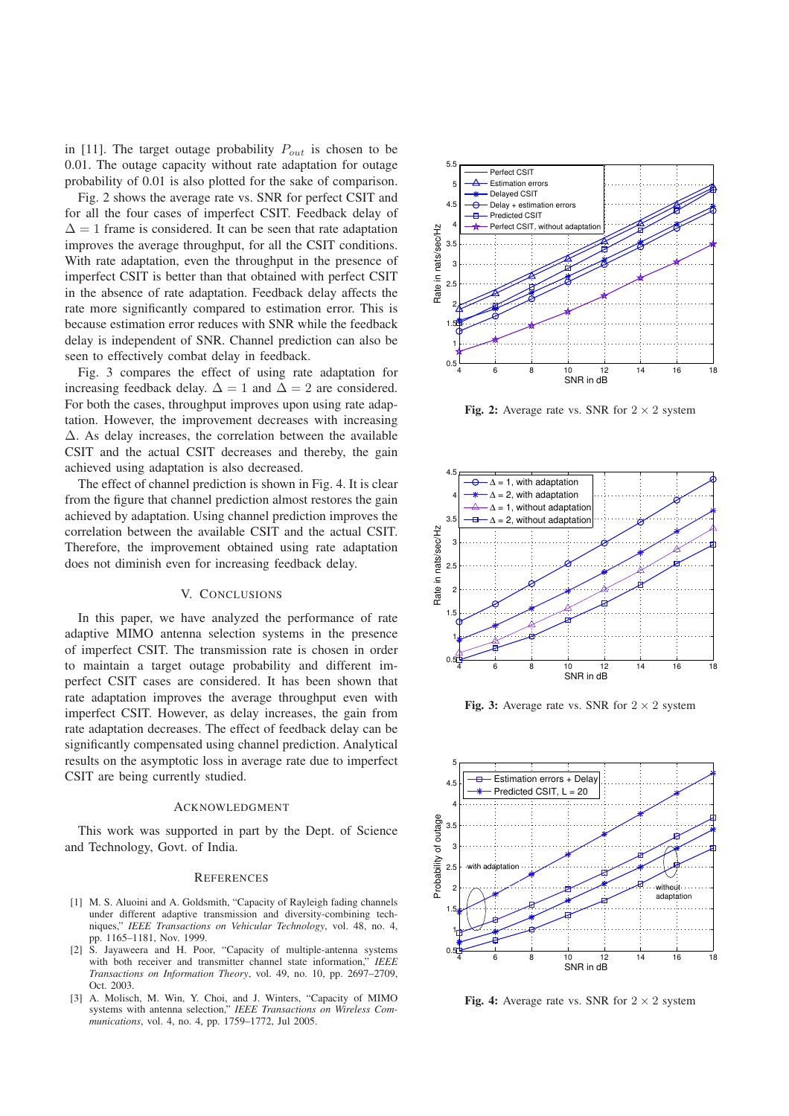in [11]. The target outage probability  $P_{out}$  is chosen to be 0.01. The outage capacity without rate adaptation for outage probability of 0.01 is also plotted for the sake of comparison.

Fig. 2 shows the average rate vs. SNR for perfect CSIT and for all the four cases of imperfect CSIT. Feedback delay of  $\Delta = 1$  frame is considered. It can be seen that rate adaptation improves the average throughput, for all the CSIT conditions. With rate adaptation, even the throughput in the presence of imperfect CSIT is better than that obtained with perfect CSIT in the absence of rate adaptation. Feedback delay affects the rate more significantly compared to estimation error. This is because estimation error reduces with SNR while the feedback delay is independent of SNR. Channel prediction can also be seen to effectively combat delay in feedback.

Fig. 3 compares the effect of using rate adaptation for increasing feedback delay.  $\Delta = 1$  and  $\Delta = 2$  are considered. For both the cases, throughput improves upon using rate adaptation. However, the improvement decreases with increasing  $\Delta$ . As delay increases, the correlation between the available CSIT and the actual CSIT decreases and thereby, the gain achieved using adaptation is also decreased.

The effect of channel prediction is shown in Fig. 4. It is clear from the figure that channel prediction almost restores the gain achieved by adaptation. Using channel prediction improves the correlation between the available CSIT and the actual CSIT. Therefore, the improvement obtained using rate adaptation does not diminish even for increasing feedback delay.

#### V. CONCLUSIONS

In this paper, we have analyzed the performance of rate adaptive MIMO antenna selection systems in the presence of imperfect CSIT. The transmission rate is chosen in order to maintain a target outage probability and different imperfect CSIT cases are considered. It has been shown that rate adaptation improves the average throughput even with imperfect CSIT. However, as delay increases, the gain from rate adaptation decreases. The effect of feedback delay can be significantly compensated using channel prediction. Analytical results on the asymptotic loss in average rate due to imperfect CSIT are being currently studied.

#### ACKNOWLEDGMENT

This work was supported in part by the Dept. of Science and Technology, Govt. of India.

## **REFERENCES**

- [1] M. S. Aluoini and A. Goldsmith, "Capacity of Rayleigh fading channels under different adaptive transmission and diversity-combining techniques," *IEEE Transactions on Vehicular Technology*, vol. 48, no. 4, pp. 1165–1181, Nov. 1999.
- [2] S. Jayaweera and H. Poor, "Capacity of multiple-antenna systems with both receiver and transmitter channel state information," *IEEE Transactions on Information Theory*, vol. 49, no. 10, pp. 2697–2709, Oct. 2003.
- [3] A. Molisch, M. Win, Y. Choi, and J. Winters, "Capacity of MIMO systems with antenna selection," *IEEE Transactions on Wireless Communications*, vol. 4, no. 4, pp. 1759–1772, Jul 2005.



**Fig. 2:** Average rate vs. SNR for  $2 \times 2$  system



**Fig. 3:** Average rate vs. SNR for  $2 \times 2$  system



**Fig. 4:** Average rate vs. SNR for  $2 \times 2$  system